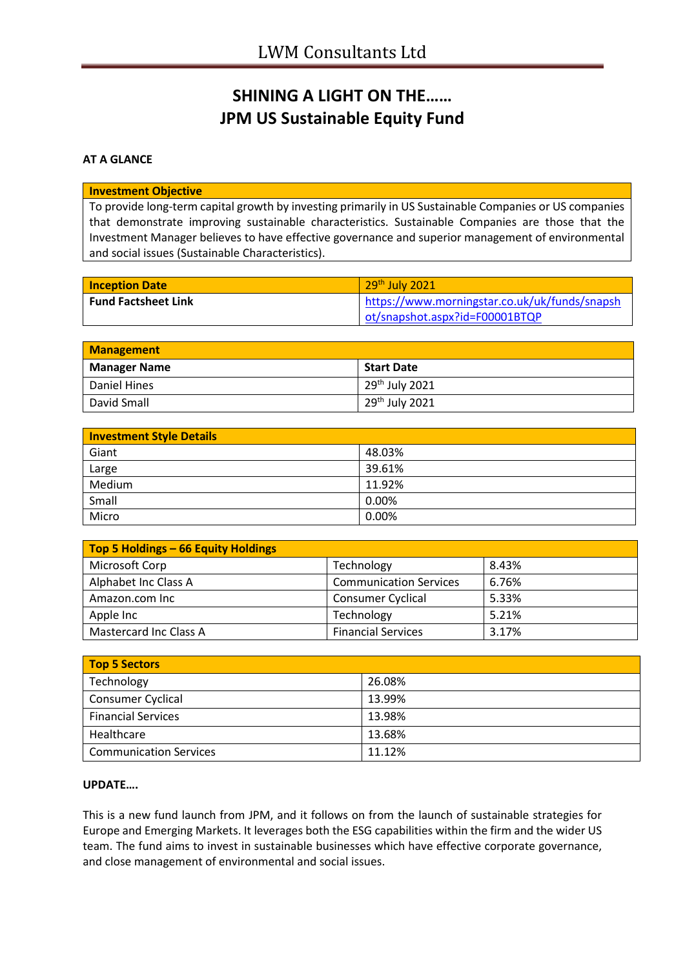## **SHINING A LIGHT ON THE…… JPM US Sustainable Equity Fund**

## **AT A GLANCE**

## **Investment Objective**

To provide long-term capital growth by investing primarily in US Sustainable Companies or US companies that demonstrate improving sustainable characteristics. Sustainable Companies are those that the Investment Manager believes to have effective governance and superior management of environmental and social issues (Sustainable Characteristics).

| <b>Inception Date</b>      | 29th July 2021                                |  |
|----------------------------|-----------------------------------------------|--|
| <b>Fund Factsheet Link</b> | https://www.morningstar.co.uk/uk/funds/snapsh |  |
|                            | ot/snapshot.aspx?id=F00001BTQP                |  |

| <b>Management</b>   |                                          |  |
|---------------------|------------------------------------------|--|
| <b>Manager Name</b> | <b>Start Date</b>                        |  |
| Daniel Hines        | $\frac{1}{2}$ 29 <sup>th</sup> July 2021 |  |
| David Small         | 29 <sup>th</sup> July 2021               |  |

| <b>Investment Style Details</b> |        |  |
|---------------------------------|--------|--|
| Giant                           | 48.03% |  |
| Large                           | 39.61% |  |
| Medium                          | 11.92% |  |
| Small                           | 0.00%  |  |
| Micro                           | 0.00%  |  |

| Top 5 Holdings - 66 Equity Holdings |                               |       |
|-------------------------------------|-------------------------------|-------|
| Microsoft Corp                      | Technology                    | 8.43% |
| Alphabet Inc Class A                | <b>Communication Services</b> | 6.76% |
| Amazon.com Inc                      | <b>Consumer Cyclical</b>      | 5.33% |
| Apple Inc                           | Technology                    | 5.21% |
| <b>Mastercard Inc Class A</b>       | <b>Financial Services</b>     | 3.17% |

| Top 5 Sectors                 |        |  |
|-------------------------------|--------|--|
| Technology                    | 26.08% |  |
| Consumer Cyclical             | 13.99% |  |
| <b>Financial Services</b>     | 13.98% |  |
| Healthcare                    | 13.68% |  |
| <b>Communication Services</b> | 11.12% |  |

## **UPDATE….**

This is a new fund launch from JPM, and it follows on from the launch of sustainable strategies for Europe and Emerging Markets. It leverages both the ESG capabilities within the firm and the wider US team. The fund aims to invest in sustainable businesses which have effective corporate governance, and close management of environmental and social issues.